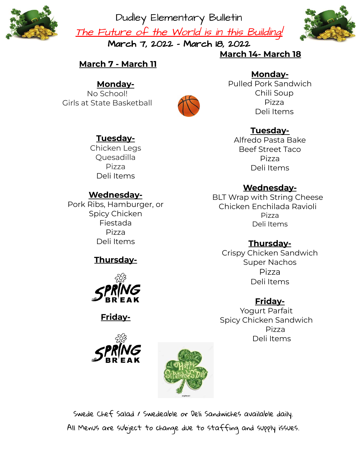

Dudley Elementary Bulletin <u>The Future of the World is in this Building!</u>

March 7, 2022 - March 18, 2022

**March 14- March 18**

#### **March 7 - March 11**

#### **Monday-**

No School! Girls at State Basketball



#### **Monday-**

Pulled Pork Sandwich Chili Soup Pizza Deli Items

#### **Tuesday-**

Alfredo Pasta Bake Beef Street Taco Pizza Deli Items

#### **Wednesday-**

BLT Wrap with String Cheese Chicken Enchilada Ravioli Pizza Deli Items

#### **Thursday-**

Crispy Chicken Sandwich Super Nachos Pizza Deli Items

#### **Friday-**

Yogurt Parfait Spicy Chicken Sandwich Pizza Deli Items

### **Tuesday-**

Chicken Legs Quesadilla Pizza Deli Items

#### **Wednesday-**

Pork Ribs, Hamburger, or Spicy Chicken Fiestada Pizza Deli Items

### **Thursday-**



**Friday-**





Swede Chef Salad / Swedeable or Deli Sandwiches available daily. All Menus are subject to change due to staffing and supply issues.